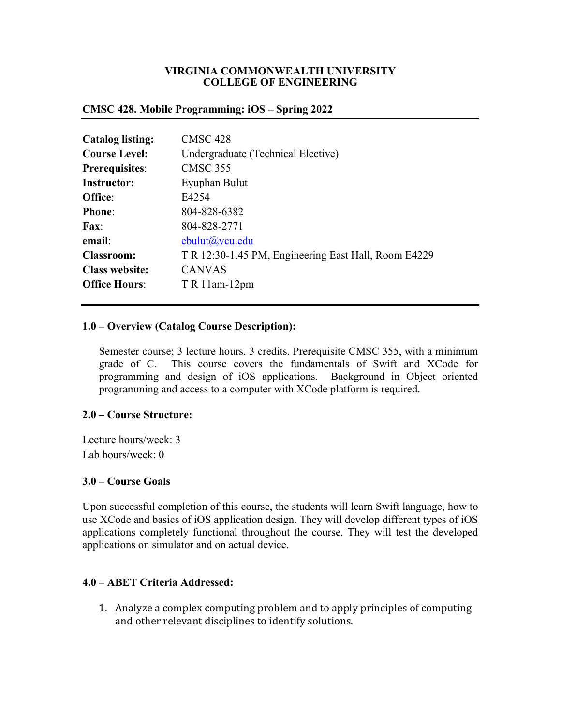### **VIRGINIA COMMONWEALTH UNIVERSITY COLLEGE OF ENGINEERING**

### **CMSC 428. Mobile Programming: iOS – Spring 2022**

| <b>Catalog listing:</b> | <b>CMSC 428</b>                                      |  |
|-------------------------|------------------------------------------------------|--|
| <b>Course Level:</b>    | Undergraduate (Technical Elective)                   |  |
| <b>Prerequisites:</b>   | <b>CMSC 355</b>                                      |  |
| <b>Instructor:</b>      | Eyuphan Bulut                                        |  |
| Office:                 | E4254                                                |  |
| <b>Phone:</b>           | 804-828-6382                                         |  |
| <b>Fax:</b>             | 804-828-2771                                         |  |
| email:                  | ebulut@vcu.edu                                       |  |
| <b>Classroom:</b>       | T R 12:30-1.45 PM, Engineering East Hall, Room E4229 |  |
| <b>Class website:</b>   | <b>CANVAS</b>                                        |  |
| <b>Office Hours:</b>    | $T R 11$ am-12pm                                     |  |
|                         |                                                      |  |

### **1.0 – Overview (Catalog Course Description):**

Semester course; 3 lecture hours. 3 credits. Prerequisite CMSC 355, with a minimum grade of C. This course covers the fundamentals of Swift and XCode for programming and design of iOS applications. Background in Object oriented programming and access to a computer with XCode platform is required.

### **2.0 – Course Structure:**

Lecture hours/week: 3 Lab hours/week: 0

### **3.0 – Course Goals**

Upon successful completion of this course, the students will learn Swift language, how to use XCode and basics of iOS application design. They will develop different types of iOS applications completely functional throughout the course. They will test the developed applications on simulator and on actual device.

# **4.0 – ABET Criteria Addressed:**

1. Analyze a complex computing problem and to apply principles of computing and other relevant disciplines to identify solutions.